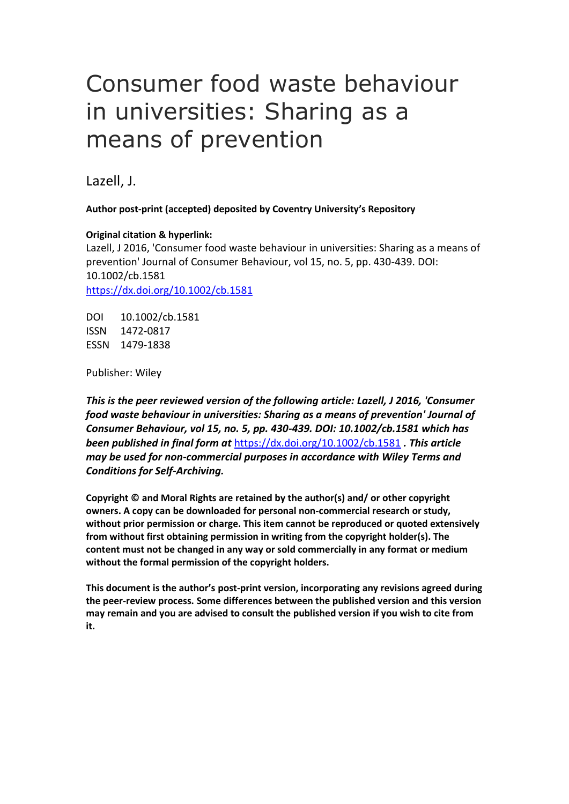Lazell, J.

**Author post-print (accepted) deposited by Coventry University's Repository**

**Original citation & hyperlink:**

Lazell, J 2016, 'Consumer food waste behaviour in universities: Sharing as a means of prevention' Journal of Consumer Behaviour, vol 15, no. 5, pp. 430-439. DOI: 10.1002/cb.1581 <https://dx.doi.org/10.1002/cb.1581>

DOI 10.1002/cb.1581 ISSN 1472-0817 ESSN 1479-1838

Publisher: Wiley

*This is the peer reviewed version of the following article: Lazell, J 2016, 'Consumer food waste behaviour in universities: Sharing as a means of prevention' Journal of Consumer Behaviour, vol 15, no. 5, pp. 430-439. DOI: 10.1002/cb.1581 which has been published in final form at* <https://dx.doi.org/10.1002/cb.1581> *. This article may be used for non-commercial purposes in accordance with Wiley Terms and Conditions for Self-Archiving.*

**Copyright © and Moral Rights are retained by the author(s) and/ or other copyright owners. A copy can be downloaded for personal non-commercial research or study, without prior permission or charge. This item cannot be reproduced or quoted extensively from without first obtaining permission in writing from the copyright holder(s). The content must not be changed in any way or sold commercially in any format or medium without the formal permission of the copyright holders.** 

**This document is the author's post-print version, incorporating any revisions agreed during the peer-review process. Some differences between the published version and this version may remain and you are advised to consult the published version if you wish to cite from it.**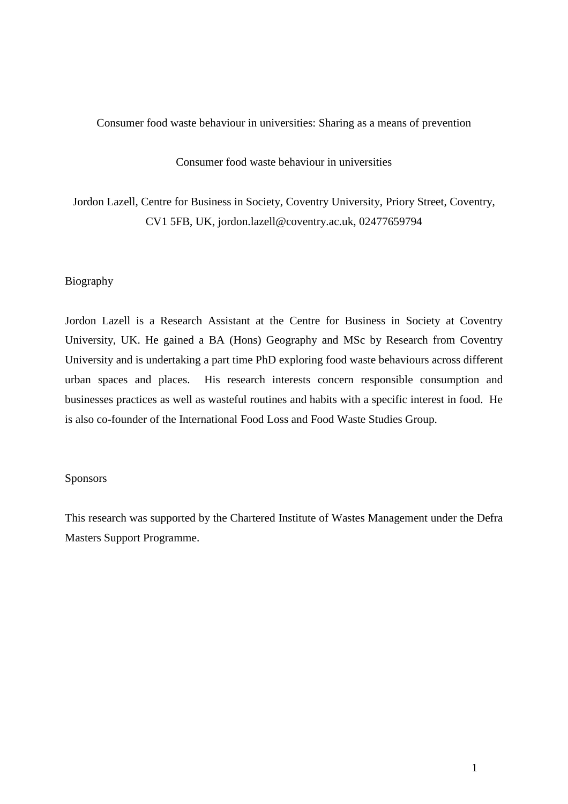# Consumer food waste behaviour in universities

Jordon Lazell, Centre for Business in Society, Coventry University, Priory Street, Coventry, CV1 5FB, UK, jordon.lazell@coventry.ac.uk, 02477659794

## Biography

Jordon Lazell is a Research Assistant at the Centre for Business in Society at Coventry University, UK. He gained a BA (Hons) Geography and MSc by Research from Coventry University and is undertaking a part time PhD exploring food waste behaviours across different urban spaces and places. His research interests concern responsible consumption and businesses practices as well as wasteful routines and habits with a specific interest in food. He is also co-founder of the International Food Loss and Food Waste Studies Group.

## Sponsors

This research was supported by the Chartered Institute of Wastes Management under the Defra Masters Support Programme.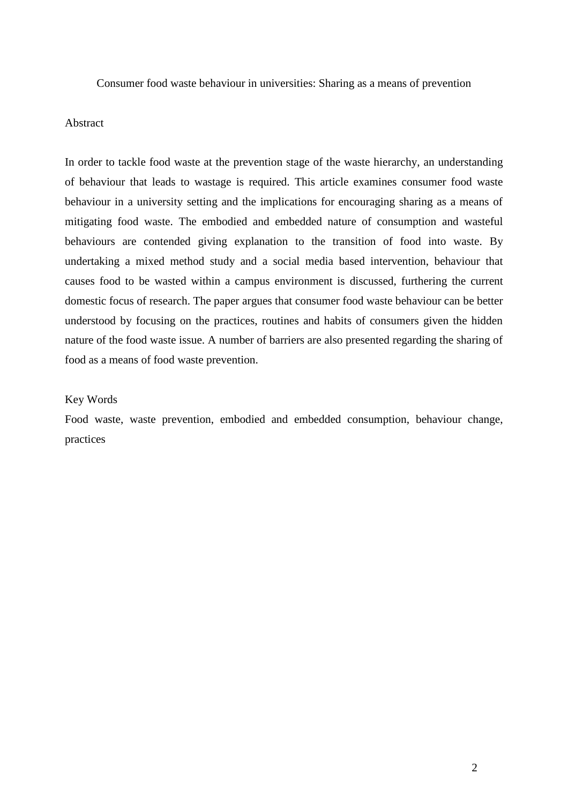## Abstract

In order to tackle food waste at the prevention stage of the waste hierarchy, an understanding of behaviour that leads to wastage is required. This article examines consumer food waste behaviour in a university setting and the implications for encouraging sharing as a means of mitigating food waste. The embodied and embedded nature of consumption and wasteful behaviours are contended giving explanation to the transition of food into waste. By undertaking a mixed method study and a social media based intervention, behaviour that causes food to be wasted within a campus environment is discussed, furthering the current domestic focus of research. The paper argues that consumer food waste behaviour can be better understood by focusing on the practices, routines and habits of consumers given the hidden nature of the food waste issue. A number of barriers are also presented regarding the sharing of food as a means of food waste prevention.

#### Key Words

Food waste, waste prevention, embodied and embedded consumption, behaviour change, practices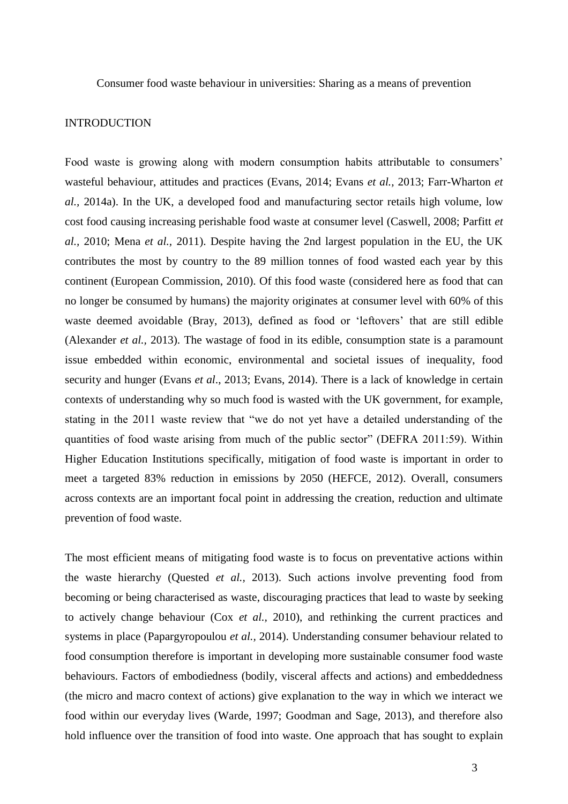## INTRODUCTION

Food waste is growing along with modern consumption habits attributable to consumers' wasteful behaviour, attitudes and practices (Evans, 2014; Evans *et al.,* 2013; Farr-Wharton *et al.,* 2014a). In the UK, a developed food and manufacturing sector retails high volume, low cost food causing increasing perishable food waste at consumer level (Caswell, 2008; Parfitt *et al.,* 2010; Mena *et al.,* 2011). Despite having the 2nd largest population in the EU, the UK contributes the most by country to the 89 million tonnes of food wasted each year by this continent (European Commission, 2010). Of this food waste (considered here as food that can no longer be consumed by humans) the majority originates at consumer level with 60% of this waste deemed avoidable (Bray, 2013), defined as food or 'leftovers' that are still edible (Alexander *et al.,* 2013). The wastage of food in its edible, consumption state is a paramount issue embedded within economic, environmental and societal issues of inequality, food security and hunger (Evans *et al*., 2013; Evans, 2014). There is a lack of knowledge in certain contexts of understanding why so much food is wasted with the UK government, for example, stating in the 2011 waste review that "we do not yet have a detailed understanding of the quantities of food waste arising from much of the public sector" (DEFRA 2011:59). Within Higher Education Institutions specifically, mitigation of food waste is important in order to meet a targeted 83% reduction in emissions by 2050 (HEFCE, 2012). Overall, consumers across contexts are an important focal point in addressing the creation, reduction and ultimate prevention of food waste.

The most efficient means of mitigating food waste is to focus on preventative actions within the waste hierarchy (Quested *et al.,* 2013). Such actions involve preventing food from becoming or being characterised as waste, discouraging practices that lead to waste by seeking to actively change behaviour (Cox *et al.,* 2010), and rethinking the current practices and systems in place (Papargyropoulou *et al.,* 2014). Understanding consumer behaviour related to food consumption therefore is important in developing more sustainable consumer food waste behaviours. Factors of embodiedness (bodily, visceral affects and actions) and embeddedness (the micro and macro context of actions) give explanation to the way in which we interact we food within our everyday lives (Warde, 1997; Goodman and Sage, 2013), and therefore also hold influence over the transition of food into waste. One approach that has sought to explain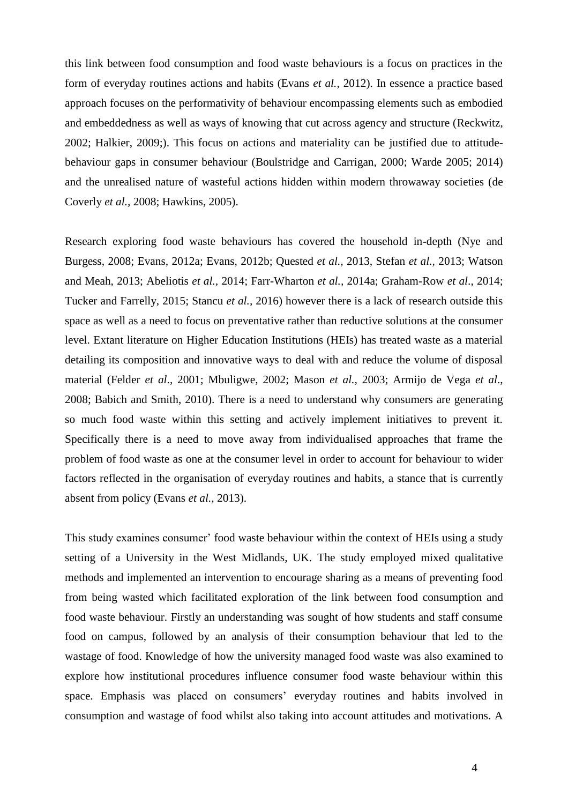this link between food consumption and food waste behaviours is a focus on practices in the form of everyday routines actions and habits (Evans *et al.,* 2012). In essence a practice based approach focuses on the performativity of behaviour encompassing elements such as embodied and embeddedness as well as ways of knowing that cut across agency and structure (Reckwitz, 2002; Halkier, 2009;). This focus on actions and materiality can be justified due to attitudebehaviour gaps in consumer behaviour (Boulstridge and Carrigan, 2000; Warde 2005; 2014) and the unrealised nature of wasteful actions hidden within modern throwaway societies (de Coverly *et al.,* 2008; Hawkins, 2005).

Research exploring food waste behaviours has covered the household in-depth (Nye and Burgess, 2008; Evans, 2012a; Evans, 2012b; Quested *et al.,* 2013, Stefan *et al.,* 2013; Watson and Meah, 2013; Abeliotis *et al.,* 2014; Farr-Wharton *et al.,* 2014a; Graham-Row *et al*., 2014; Tucker and Farrelly, 2015; Stancu *et al.,* 2016) however there is a lack of research outside this space as well as a need to focus on preventative rather than reductive solutions at the consumer level. Extant literature on Higher Education Institutions (HEIs) has treated waste as a material detailing its composition and innovative ways to deal with and reduce the volume of disposal material (Felder *et al*., 2001; Mbuligwe, 2002; Mason *et al.,* 2003; Armijo de Vega *et al*., 2008; Babich and Smith, 2010). There is a need to understand why consumers are generating so much food waste within this setting and actively implement initiatives to prevent it. Specifically there is a need to move away from individualised approaches that frame the problem of food waste as one at the consumer level in order to account for behaviour to wider factors reflected in the organisation of everyday routines and habits, a stance that is currently absent from policy (Evans *et al.,* 2013).

This study examines consumer' food waste behaviour within the context of HEIs using a study setting of a University in the West Midlands, UK. The study employed mixed qualitative methods and implemented an intervention to encourage sharing as a means of preventing food from being wasted which facilitated exploration of the link between food consumption and food waste behaviour. Firstly an understanding was sought of how students and staff consume food on campus, followed by an analysis of their consumption behaviour that led to the wastage of food. Knowledge of how the university managed food waste was also examined to explore how institutional procedures influence consumer food waste behaviour within this space. Emphasis was placed on consumers' everyday routines and habits involved in consumption and wastage of food whilst also taking into account attitudes and motivations. A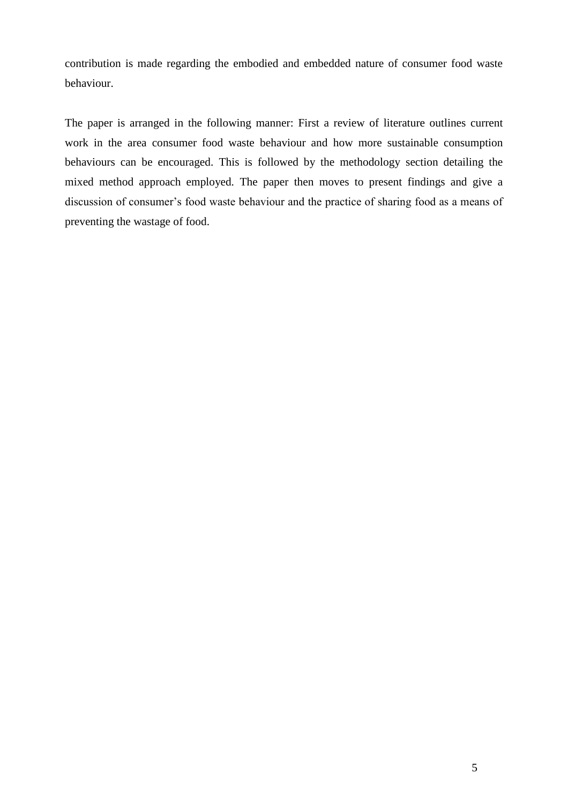contribution is made regarding the embodied and embedded nature of consumer food waste behaviour.

The paper is arranged in the following manner: First a review of literature outlines current work in the area consumer food waste behaviour and how more sustainable consumption behaviours can be encouraged. This is followed by the methodology section detailing the mixed method approach employed. The paper then moves to present findings and give a discussion of consumer's food waste behaviour and the practice of sharing food as a means of preventing the wastage of food.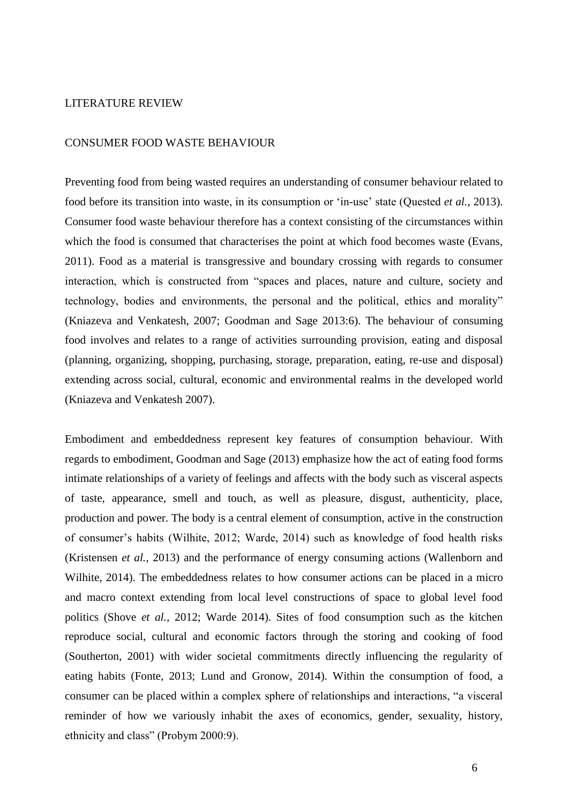## LITERATURE REVIEW

## CONSUMER FOOD WASTE BEHAVIOUR

Preventing food from being wasted requires an understanding of consumer behaviour related to food before its transition into waste, in its consumption or 'in-use' state (Quested *et al.,* 2013). Consumer food waste behaviour therefore has a context consisting of the circumstances within which the food is consumed that characterises the point at which food becomes waste (Evans, 2011). Food as a material is transgressive and boundary crossing with regards to consumer interaction, which is constructed from "spaces and places, nature and culture, society and technology, bodies and environments, the personal and the political, ethics and morality" (Kniazeva and Venkatesh, 2007; Goodman and Sage 2013:6). The behaviour of consuming food involves and relates to a range of activities surrounding provision, eating and disposal (planning, organizing, shopping, purchasing, storage, preparation, eating, re-use and disposal) extending across social, cultural, economic and environmental realms in the developed world (Kniazeva and Venkatesh 2007).

Embodiment and embeddedness represent key features of consumption behaviour. With regards to embodiment, Goodman and Sage (2013) emphasize how the act of eating food forms intimate relationships of a variety of feelings and affects with the body such as visceral aspects of taste, appearance, smell and touch, as well as pleasure, disgust, authenticity, place, production and power. The body is a central element of consumption, active in the construction of consumer's habits (Wilhite, 2012; Warde, 2014) such as knowledge of food health risks (Kristensen *et al.,* 2013) and the performance of energy consuming actions (Wallenborn and Wilhite, 2014). The embeddedness relates to how consumer actions can be placed in a micro and macro context extending from local level constructions of space to global level food politics (Shove *et al.,* 2012; Warde 2014). Sites of food consumption such as the kitchen reproduce social, cultural and economic factors through the storing and cooking of food (Southerton, 2001) with wider societal commitments directly influencing the regularity of eating habits (Fonte, 2013; Lund and Gronow, 2014). Within the consumption of food, a consumer can be placed within a complex sphere of relationships and interactions, "a visceral reminder of how we variously inhabit the axes of economics, gender, sexuality, history, ethnicity and class" (Probym 2000:9).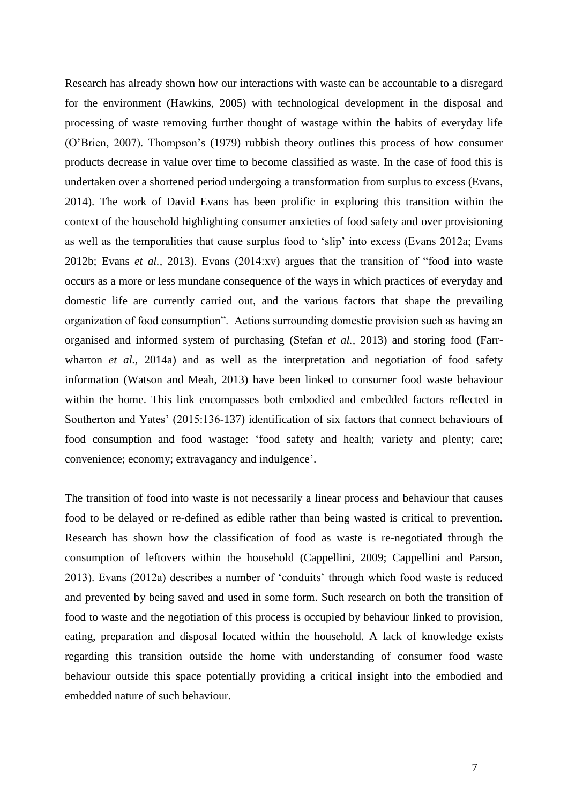Research has already shown how our interactions with waste can be accountable to a disregard for the environment (Hawkins, 2005) with technological development in the disposal and processing of waste removing further thought of wastage within the habits of everyday life (O'Brien, 2007). Thompson's (1979) rubbish theory outlines this process of how consumer products decrease in value over time to become classified as waste. In the case of food this is undertaken over a shortened period undergoing a transformation from surplus to excess (Evans, 2014). The work of David Evans has been prolific in exploring this transition within the context of the household highlighting consumer anxieties of food safety and over provisioning as well as the temporalities that cause surplus food to 'slip' into excess (Evans 2012a; Evans 2012b; Evans *et al.,* 2013). Evans (2014:xv) argues that the transition of "food into waste occurs as a more or less mundane consequence of the ways in which practices of everyday and domestic life are currently carried out, and the various factors that shape the prevailing organization of food consumption". Actions surrounding domestic provision such as having an organised and informed system of purchasing (Stefan *et al.,* 2013) and storing food (Farrwharton *et al.*, 2014a) and as well as the interpretation and negotiation of food safety information (Watson and Meah, 2013) have been linked to consumer food waste behaviour within the home. This link encompasses both embodied and embedded factors reflected in Southerton and Yates' (2015:136-137) identification of six factors that connect behaviours of food consumption and food wastage: 'food safety and health; variety and plenty; care; convenience; economy; extravagancy and indulgence'.

The transition of food into waste is not necessarily a linear process and behaviour that causes food to be delayed or re-defined as edible rather than being wasted is critical to prevention. Research has shown how the classification of food as waste is re-negotiated through the consumption of leftovers within the household (Cappellini, 2009; Cappellini and Parson, 2013). Evans (2012a) describes a number of 'conduits' through which food waste is reduced and prevented by being saved and used in some form. Such research on both the transition of food to waste and the negotiation of this process is occupied by behaviour linked to provision, eating, preparation and disposal located within the household. A lack of knowledge exists regarding this transition outside the home with understanding of consumer food waste behaviour outside this space potentially providing a critical insight into the embodied and embedded nature of such behaviour.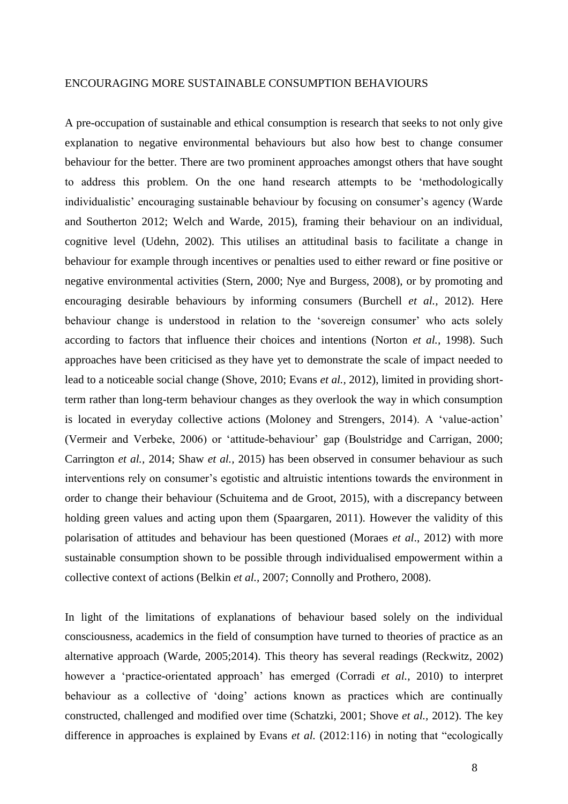#### ENCOURAGING MORE SUSTAINABLE CONSUMPTION BEHAVIOURS

A pre-occupation of sustainable and ethical consumption is research that seeks to not only give explanation to negative environmental behaviours but also how best to change consumer behaviour for the better. There are two prominent approaches amongst others that have sought to address this problem. On the one hand research attempts to be 'methodologically individualistic' encouraging sustainable behaviour by focusing on consumer's agency (Warde and Southerton 2012; Welch and Warde, 2015), framing their behaviour on an individual, cognitive level (Udehn, 2002). This utilises an attitudinal basis to facilitate a change in behaviour for example through incentives or penalties used to either reward or fine positive or negative environmental activities (Stern, 2000; Nye and Burgess, 2008), or by promoting and encouraging desirable behaviours by informing consumers (Burchell *et al.,* 2012). Here behaviour change is understood in relation to the 'sovereign consumer' who acts solely according to factors that influence their choices and intentions (Norton *et al.,* 1998). Such approaches have been criticised as they have yet to demonstrate the scale of impact needed to lead to a noticeable social change (Shove, 2010; Evans *et al.,* 2012), limited in providing shortterm rather than long-term behaviour changes as they overlook the way in which consumption is located in everyday collective actions (Moloney and Strengers, 2014). A 'value-action' (Vermeir and Verbeke, 2006) or 'attitude-behaviour' gap (Boulstridge and Carrigan, 2000; Carrington *et al.,* 2014; Shaw *et al.,* 2015) has been observed in consumer behaviour as such interventions rely on consumer's egotistic and altruistic intentions towards the environment in order to change their behaviour (Schuitema and de Groot, 2015), with a discrepancy between holding green values and acting upon them (Spaargaren, 2011). However the validity of this polarisation of attitudes and behaviour has been questioned (Moraes *et al*., 2012) with more sustainable consumption shown to be possible through individualised empowerment within a collective context of actions (Belkin *et al.,* 2007; Connolly and Prothero, 2008).

In light of the limitations of explanations of behaviour based solely on the individual consciousness, academics in the field of consumption have turned to theories of practice as an alternative approach (Warde, 2005;2014). This theory has several readings (Reckwitz, 2002) however a 'practice-orientated approach' has emerged (Corradi *et al.,* 2010) to interpret behaviour as a collective of 'doing' actions known as practices which are continually constructed, challenged and modified over time (Schatzki, 2001; Shove *et al.,* 2012). The key difference in approaches is explained by Evans *et al.* (2012:116) in noting that "ecologically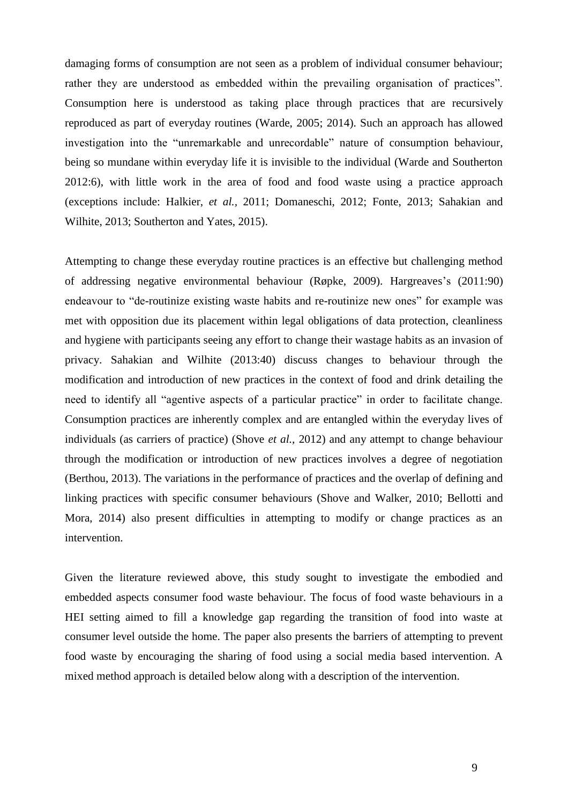damaging forms of consumption are not seen as a problem of individual consumer behaviour; rather they are understood as embedded within the prevailing organisation of practices". Consumption here is understood as taking place through practices that are recursively reproduced as part of everyday routines (Warde, 2005; 2014). Such an approach has allowed investigation into the "unremarkable and unrecordable" nature of consumption behaviour, being so mundane within everyday life it is invisible to the individual (Warde and Southerton 2012:6), with little work in the area of food and food waste using a practice approach (exceptions include: Halkier, *et al.,* 2011; Domaneschi, 2012; Fonte, 2013; Sahakian and Wilhite, 2013; Southerton and Yates, 2015).

Attempting to change these everyday routine practices is an effective but challenging method of addressing negative environmental behaviour (Røpke, 2009). Hargreaves's (2011:90) endeavour to "de-routinize existing waste habits and re-routinize new ones" for example was met with opposition due its placement within legal obligations of data protection, cleanliness and hygiene with participants seeing any effort to change their wastage habits as an invasion of privacy. Sahakian and Wilhite (2013:40) discuss changes to behaviour through the modification and introduction of new practices in the context of food and drink detailing the need to identify all "agentive aspects of a particular practice" in order to facilitate change. Consumption practices are inherently complex and are entangled within the everyday lives of individuals (as carriers of practice) (Shove *et al.,* 2012) and any attempt to change behaviour through the modification or introduction of new practices involves a degree of negotiation (Berthou, 2013). The variations in the performance of practices and the overlap of defining and linking practices with specific consumer behaviours (Shove and Walker, 2010; Bellotti and Mora, 2014) also present difficulties in attempting to modify or change practices as an intervention.

Given the literature reviewed above, this study sought to investigate the embodied and embedded aspects consumer food waste behaviour. The focus of food waste behaviours in a HEI setting aimed to fill a knowledge gap regarding the transition of food into waste at consumer level outside the home. The paper also presents the barriers of attempting to prevent food waste by encouraging the sharing of food using a social media based intervention. A mixed method approach is detailed below along with a description of the intervention.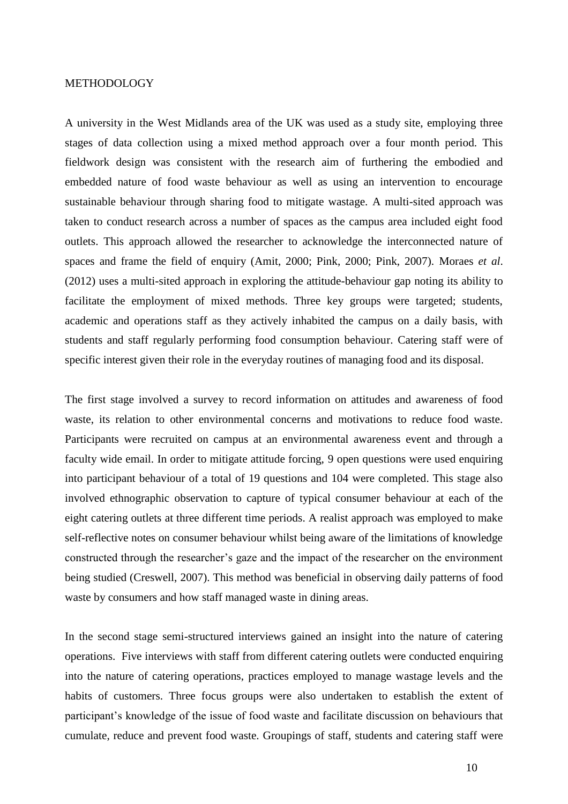#### **METHODOLOGY**

A university in the West Midlands area of the UK was used as a study site, employing three stages of data collection using a mixed method approach over a four month period. This fieldwork design was consistent with the research aim of furthering the embodied and embedded nature of food waste behaviour as well as using an intervention to encourage sustainable behaviour through sharing food to mitigate wastage. A multi-sited approach was taken to conduct research across a number of spaces as the campus area included eight food outlets. This approach allowed the researcher to acknowledge the interconnected nature of spaces and frame the field of enquiry (Amit, 2000; Pink, 2000; Pink, 2007). Moraes *et al*. (2012) uses a multi-sited approach in exploring the attitude-behaviour gap noting its ability to facilitate the employment of mixed methods. Three key groups were targeted; students, academic and operations staff as they actively inhabited the campus on a daily basis, with students and staff regularly performing food consumption behaviour. Catering staff were of specific interest given their role in the everyday routines of managing food and its disposal.

The first stage involved a survey to record information on attitudes and awareness of food waste, its relation to other environmental concerns and motivations to reduce food waste. Participants were recruited on campus at an environmental awareness event and through a faculty wide email. In order to mitigate attitude forcing, 9 open questions were used enquiring into participant behaviour of a total of 19 questions and 104 were completed. This stage also involved ethnographic observation to capture of typical consumer behaviour at each of the eight catering outlets at three different time periods. A realist approach was employed to make self-reflective notes on consumer behaviour whilst being aware of the limitations of knowledge constructed through the researcher's gaze and the impact of the researcher on the environment being studied (Creswell, 2007). This method was beneficial in observing daily patterns of food waste by consumers and how staff managed waste in dining areas.

In the second stage semi-structured interviews gained an insight into the nature of catering operations. Five interviews with staff from different catering outlets were conducted enquiring into the nature of catering operations, practices employed to manage wastage levels and the habits of customers. Three focus groups were also undertaken to establish the extent of participant's knowledge of the issue of food waste and facilitate discussion on behaviours that cumulate, reduce and prevent food waste. Groupings of staff, students and catering staff were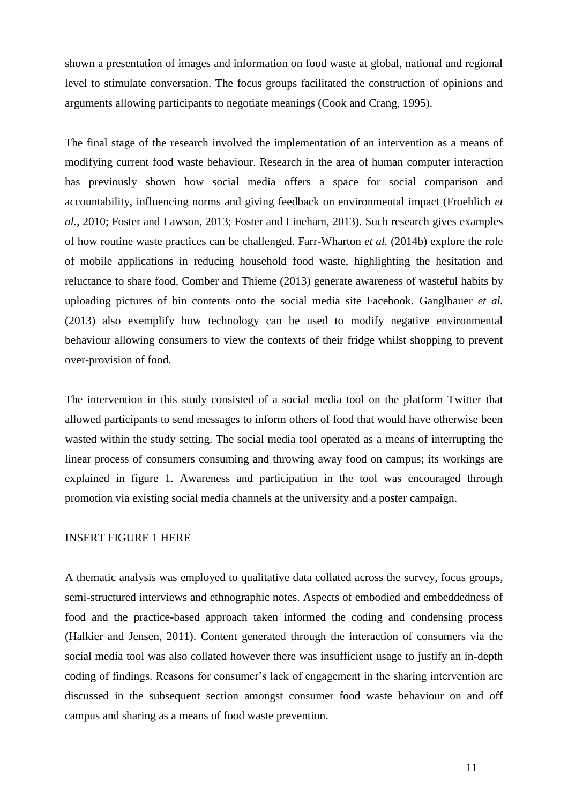shown a presentation of images and information on food waste at global, national and regional level to stimulate conversation. The focus groups facilitated the construction of opinions and arguments allowing participants to negotiate meanings (Cook and Crang, 1995).

The final stage of the research involved the implementation of an intervention as a means of modifying current food waste behaviour. Research in the area of human computer interaction has previously shown how social media offers a space for social comparison and accountability, influencing norms and giving feedback on environmental impact (Froehlich *et al.*, 2010; Foster and Lawson, 2013; Foster and Lineham, 2013). Such research gives examples of how routine waste practices can be challenged. Farr-Wharton *et al.* (2014b) explore the role of mobile applications in reducing household food waste, highlighting the hesitation and reluctance to share food. Comber and Thieme (2013) generate awareness of wasteful habits by uploading pictures of bin contents onto the social media site Facebook. Ganglbauer *et al.*  (2013) also exemplify how technology can be used to modify negative environmental behaviour allowing consumers to view the contexts of their fridge whilst shopping to prevent over-provision of food.

The intervention in this study consisted of a social media tool on the platform Twitter that allowed participants to send messages to inform others of food that would have otherwise been wasted within the study setting. The social media tool operated as a means of interrupting the linear process of consumers consuming and throwing away food on campus; its workings are explained in figure 1. Awareness and participation in the tool was encouraged through promotion via existing social media channels at the university and a poster campaign.

# INSERT FIGURE 1 HERE

A thematic analysis was employed to qualitative data collated across the survey, focus groups, semi-structured interviews and ethnographic notes. Aspects of embodied and embeddedness of food and the practice-based approach taken informed the coding and condensing process (Halkier and Jensen, 2011). Content generated through the interaction of consumers via the social media tool was also collated however there was insufficient usage to justify an in-depth coding of findings. Reasons for consumer's lack of engagement in the sharing intervention are discussed in the subsequent section amongst consumer food waste behaviour on and off campus and sharing as a means of food waste prevention.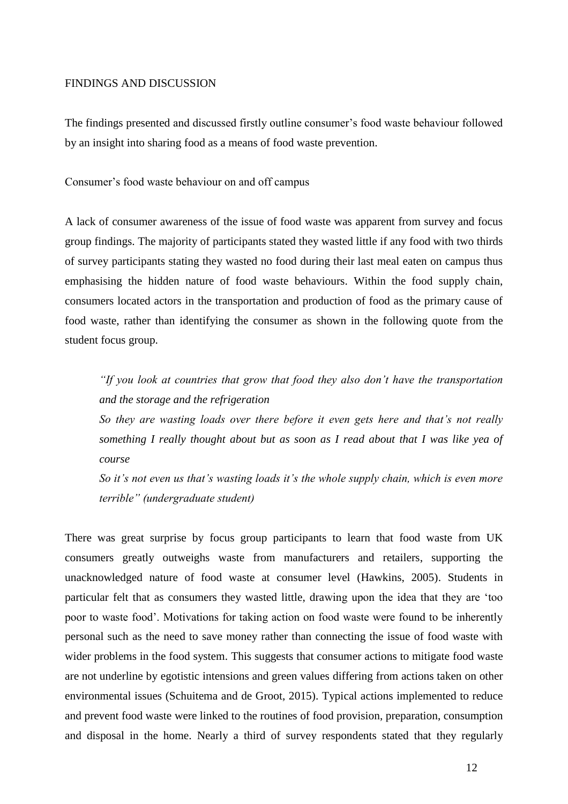#### FINDINGS AND DISCUSSION

The findings presented and discussed firstly outline consumer's food waste behaviour followed by an insight into sharing food as a means of food waste prevention.

Consumer's food waste behaviour on and off campus

A lack of consumer awareness of the issue of food waste was apparent from survey and focus group findings. The majority of participants stated they wasted little if any food with two thirds of survey participants stating they wasted no food during their last meal eaten on campus thus emphasising the hidden nature of food waste behaviours. Within the food supply chain, consumers located actors in the transportation and production of food as the primary cause of food waste, rather than identifying the consumer as shown in the following quote from the student focus group.

*"If you look at countries that grow that food they also don't have the transportation and the storage and the refrigeration*

*So they are wasting loads over there before it even gets here and that's not really something I really thought about but as soon as I read about that I was like yea of course*

*So it's not even us that's wasting loads it's the whole supply chain, which is even more terrible" (undergraduate student)*

There was great surprise by focus group participants to learn that food waste from UK consumers greatly outweighs waste from manufacturers and retailers, supporting the unacknowledged nature of food waste at consumer level (Hawkins, 2005). Students in particular felt that as consumers they wasted little, drawing upon the idea that they are 'too poor to waste food'. Motivations for taking action on food waste were found to be inherently personal such as the need to save money rather than connecting the issue of food waste with wider problems in the food system. This suggests that consumer actions to mitigate food waste are not underline by egotistic intensions and green values differing from actions taken on other environmental issues (Schuitema and de Groot, 2015). Typical actions implemented to reduce and prevent food waste were linked to the routines of food provision, preparation, consumption and disposal in the home. Nearly a third of survey respondents stated that they regularly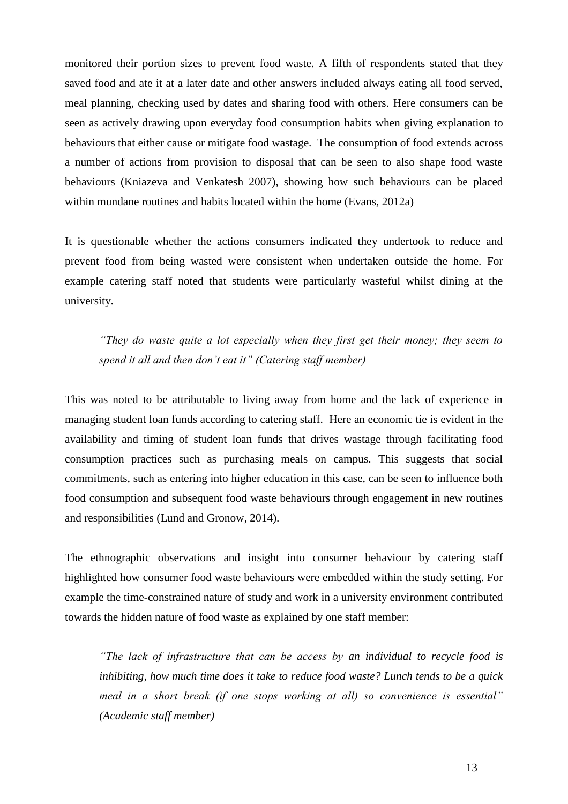monitored their portion sizes to prevent food waste. A fifth of respondents stated that they saved food and ate it at a later date and other answers included always eating all food served, meal planning, checking used by dates and sharing food with others. Here consumers can be seen as actively drawing upon everyday food consumption habits when giving explanation to behaviours that either cause or mitigate food wastage. The consumption of food extends across a number of actions from provision to disposal that can be seen to also shape food waste behaviours (Kniazeva and Venkatesh 2007), showing how such behaviours can be placed within mundane routines and habits located within the home (Evans, 2012a)

It is questionable whether the actions consumers indicated they undertook to reduce and prevent food from being wasted were consistent when undertaken outside the home. For example catering staff noted that students were particularly wasteful whilst dining at the university.

*"They do waste quite a lot especially when they first get their money; they seem to spend it all and then don't eat it" (Catering staff member)*

This was noted to be attributable to living away from home and the lack of experience in managing student loan funds according to catering staff. Here an economic tie is evident in the availability and timing of student loan funds that drives wastage through facilitating food consumption practices such as purchasing meals on campus. This suggests that social commitments, such as entering into higher education in this case, can be seen to influence both food consumption and subsequent food waste behaviours through engagement in new routines and responsibilities (Lund and Gronow, 2014).

The ethnographic observations and insight into consumer behaviour by catering staff highlighted how consumer food waste behaviours were embedded within the study setting. For example the time-constrained nature of study and work in a university environment contributed towards the hidden nature of food waste as explained by one staff member:

*"The lack of infrastructure that can be access by an individual to recycle food is inhibiting, how much time does it take to reduce food waste? Lunch tends to be a quick meal in a short break (if one stops working at all) so convenience is essential" (Academic staff member)*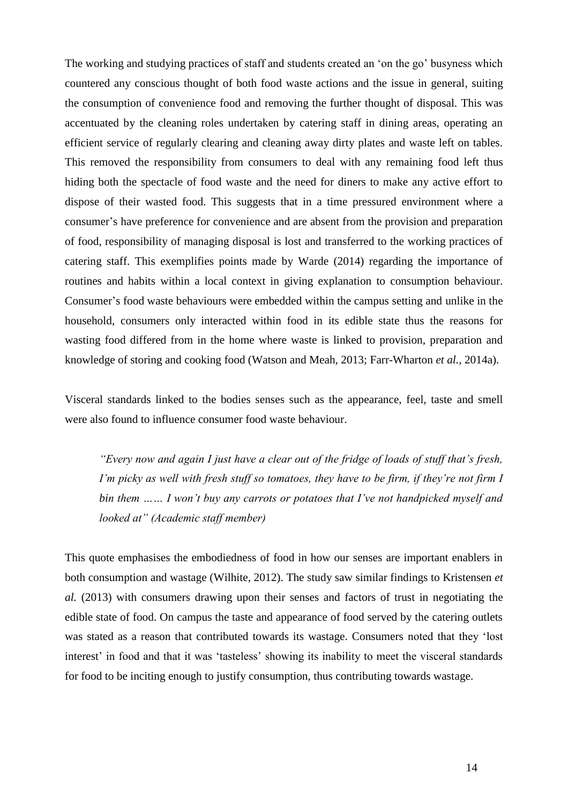The working and studying practices of staff and students created an 'on the go' busyness which countered any conscious thought of both food waste actions and the issue in general, suiting the consumption of convenience food and removing the further thought of disposal. This was accentuated by the cleaning roles undertaken by catering staff in dining areas, operating an efficient service of regularly clearing and cleaning away dirty plates and waste left on tables. This removed the responsibility from consumers to deal with any remaining food left thus hiding both the spectacle of food waste and the need for diners to make any active effort to dispose of their wasted food. This suggests that in a time pressured environment where a consumer's have preference for convenience and are absent from the provision and preparation of food, responsibility of managing disposal is lost and transferred to the working practices of catering staff. This exemplifies points made by Warde (2014) regarding the importance of routines and habits within a local context in giving explanation to consumption behaviour. Consumer's food waste behaviours were embedded within the campus setting and unlike in the household, consumers only interacted within food in its edible state thus the reasons for wasting food differed from in the home where waste is linked to provision, preparation and knowledge of storing and cooking food (Watson and Meah, 2013; Farr-Wharton *et al.,* 2014a).

Visceral standards linked to the bodies senses such as the appearance, feel, taste and smell were also found to influence consumer food waste behaviour.

*"Every now and again I just have a clear out of the fridge of loads of stuff that's fresh, I'm picky as well with fresh stuff so tomatoes, they have to be firm, if they're not firm I bin them …… I won't buy any carrots or potatoes that I've not handpicked myself and looked at" (Academic staff member)*

This quote emphasises the embodiedness of food in how our senses are important enablers in both consumption and wastage (Wilhite, 2012). The study saw similar findings to Kristensen *et al.* (2013) with consumers drawing upon their senses and factors of trust in negotiating the edible state of food. On campus the taste and appearance of food served by the catering outlets was stated as a reason that contributed towards its wastage. Consumers noted that they 'lost interest' in food and that it was 'tasteless' showing its inability to meet the visceral standards for food to be inciting enough to justify consumption, thus contributing towards wastage.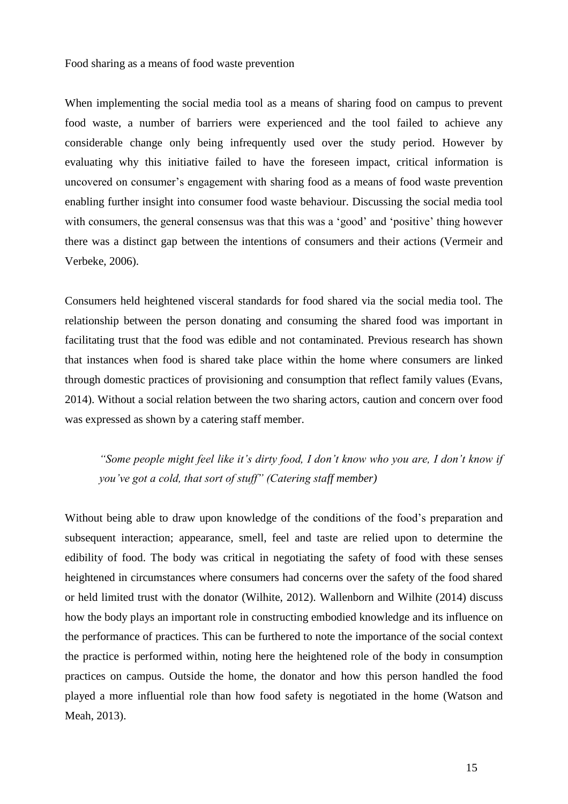Food sharing as a means of food waste prevention

When implementing the social media tool as a means of sharing food on campus to prevent food waste, a number of barriers were experienced and the tool failed to achieve any considerable change only being infrequently used over the study period. However by evaluating why this initiative failed to have the foreseen impact, critical information is uncovered on consumer's engagement with sharing food as a means of food waste prevention enabling further insight into consumer food waste behaviour. Discussing the social media tool with consumers, the general consensus was that this was a 'good' and 'positive' thing however there was a distinct gap between the intentions of consumers and their actions (Vermeir and Verbeke, 2006).

Consumers held heightened visceral standards for food shared via the social media tool. The relationship between the person donating and consuming the shared food was important in facilitating trust that the food was edible and not contaminated. Previous research has shown that instances when food is shared take place within the home where consumers are linked through domestic practices of provisioning and consumption that reflect family values (Evans, 2014). Without a social relation between the two sharing actors, caution and concern over food was expressed as shown by a catering staff member.

*"Some people might feel like it's dirty food, I don't know who you are, I don't know if you've got a cold, that sort of stuff" (Catering staff member)*

Without being able to draw upon knowledge of the conditions of the food's preparation and subsequent interaction; appearance, smell, feel and taste are relied upon to determine the edibility of food. The body was critical in negotiating the safety of food with these senses heightened in circumstances where consumers had concerns over the safety of the food shared or held limited trust with the donator (Wilhite, 2012). Wallenborn and Wilhite (2014) discuss how the body plays an important role in constructing embodied knowledge and its influence on the performance of practices. This can be furthered to note the importance of the social context the practice is performed within, noting here the heightened role of the body in consumption practices on campus. Outside the home, the donator and how this person handled the food played a more influential role than how food safety is negotiated in the home (Watson and Meah, 2013).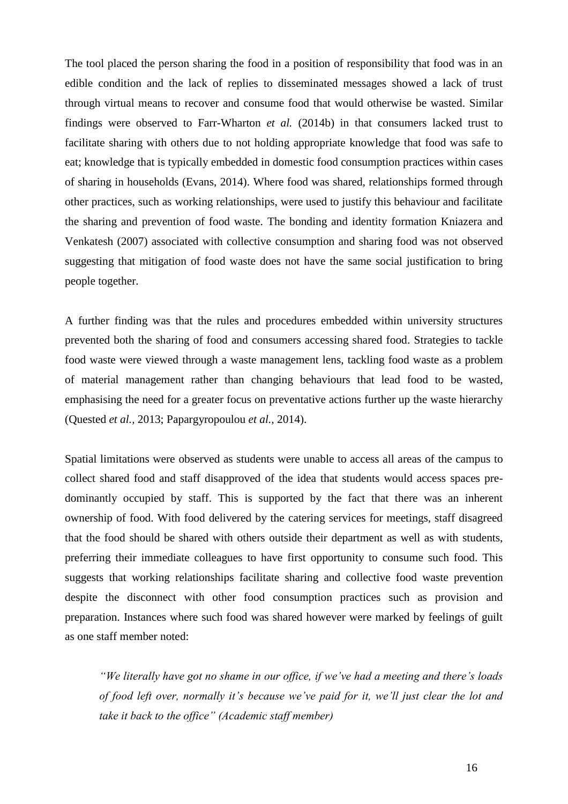The tool placed the person sharing the food in a position of responsibility that food was in an edible condition and the lack of replies to disseminated messages showed a lack of trust through virtual means to recover and consume food that would otherwise be wasted. Similar findings were observed to Farr-Wharton *et al.* (2014b) in that consumers lacked trust to facilitate sharing with others due to not holding appropriate knowledge that food was safe to eat; knowledge that is typically embedded in domestic food consumption practices within cases of sharing in households (Evans, 2014). Where food was shared, relationships formed through other practices, such as working relationships, were used to justify this behaviour and facilitate the sharing and prevention of food waste. The bonding and identity formation Kniazera and Venkatesh (2007) associated with collective consumption and sharing food was not observed suggesting that mitigation of food waste does not have the same social justification to bring people together.

A further finding was that the rules and procedures embedded within university structures prevented both the sharing of food and consumers accessing shared food. Strategies to tackle food waste were viewed through a waste management lens, tackling food waste as a problem of material management rather than changing behaviours that lead food to be wasted, emphasising the need for a greater focus on preventative actions further up the waste hierarchy (Quested *et al.,* 2013; Papargyropoulou *et al.,* 2014).

Spatial limitations were observed as students were unable to access all areas of the campus to collect shared food and staff disapproved of the idea that students would access spaces predominantly occupied by staff. This is supported by the fact that there was an inherent ownership of food. With food delivered by the catering services for meetings, staff disagreed that the food should be shared with others outside their department as well as with students, preferring their immediate colleagues to have first opportunity to consume such food. This suggests that working relationships facilitate sharing and collective food waste prevention despite the disconnect with other food consumption practices such as provision and preparation. Instances where such food was shared however were marked by feelings of guilt as one staff member noted:

*"We literally have got no shame in our office, if we've had a meeting and there's loads of food left over, normally it's because we've paid for it, we'll just clear the lot and take it back to the office" (Academic staff member)*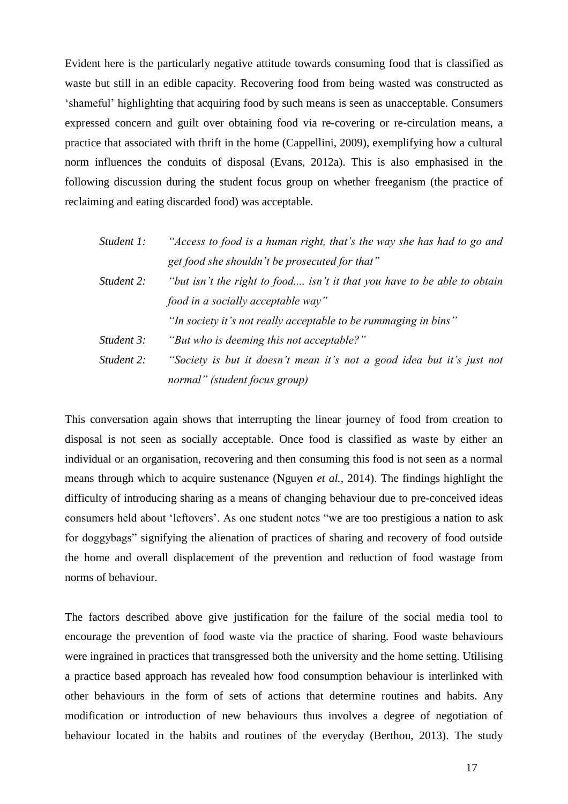Evident here is the particularly negative attitude towards consuming food that is classified as waste but still in an edible capacity. Recovering food from being wasted was constructed as 'shameful' highlighting that acquiring food by such means is seen as unacceptable. Consumers expressed concern and guilt over obtaining food via re-covering or re-circulation means, a practice that associated with thrift in the home (Cappellini, 2009), exemplifying how a cultural norm influences the conduits of disposal (Evans, 2012a). This is also emphasised in the following discussion during the student focus group on whether freeganism (the practice of reclaiming and eating discarded food) was acceptable.

| Student 1: | "Access to food is a human right, that's the way she has had to go and   |
|------------|--------------------------------------------------------------------------|
|            | get food she shouldn't be prosecuted for that"                           |
| Student 2: | "but isn't the right to food isn't it that you have to be able to obtain |
|            | food in a socially acceptable way"                                       |
|            | "In society it's not really acceptable to be rummaging in bins"          |
| Student 3: | "But who is deeming this not acceptable?"                                |
| Student 2: | "Society is but it doesn't mean it's not a good idea but it's just not   |
|            | normal" (student focus group)                                            |

This conversation again shows that interrupting the linear journey of food from creation to disposal is not seen as socially acceptable. Once food is classified as waste by either an individual or an organisation, recovering and then consuming this food is not seen as a normal means through which to acquire sustenance (Nguyen *et al.,* 2014). The findings highlight the difficulty of introducing sharing as a means of changing behaviour due to pre-conceived ideas consumers held about 'leftovers'. As one student notes "we are too prestigious a nation to ask for doggybags" signifying the alienation of practices of sharing and recovery of food outside the home and overall displacement of the prevention and reduction of food wastage from norms of behaviour.

The factors described above give justification for the failure of the social media tool to encourage the prevention of food waste via the practice of sharing. Food waste behaviours were ingrained in practices that transgressed both the university and the home setting. Utilising a practice based approach has revealed how food consumption behaviour is interlinked with other behaviours in the form of sets of actions that determine routines and habits. Any modification or introduction of new behaviours thus involves a degree of negotiation of behaviour located in the habits and routines of the everyday (Berthou, 2013). The study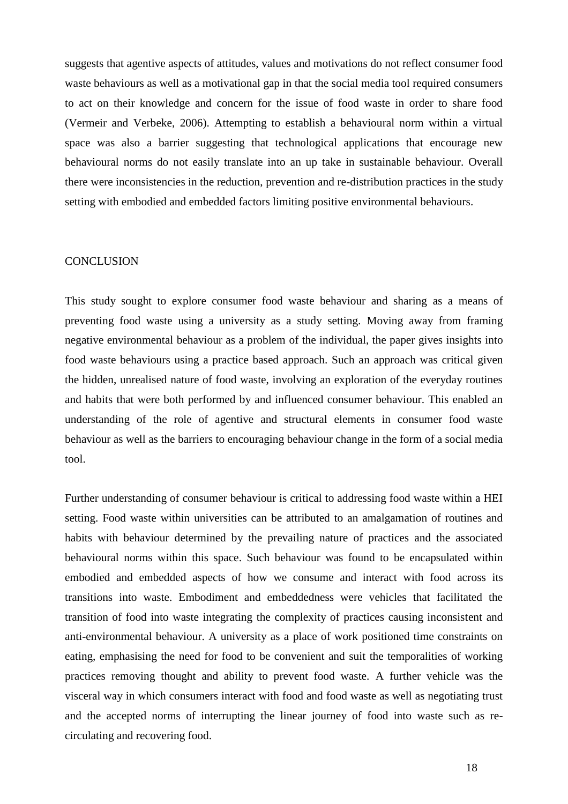suggests that agentive aspects of attitudes, values and motivations do not reflect consumer food waste behaviours as well as a motivational gap in that the social media tool required consumers to act on their knowledge and concern for the issue of food waste in order to share food (Vermeir and Verbeke, 2006). Attempting to establish a behavioural norm within a virtual space was also a barrier suggesting that technological applications that encourage new behavioural norms do not easily translate into an up take in sustainable behaviour. Overall there were inconsistencies in the reduction, prevention and re-distribution practices in the study setting with embodied and embedded factors limiting positive environmental behaviours.

#### **CONCLUSION**

This study sought to explore consumer food waste behaviour and sharing as a means of preventing food waste using a university as a study setting. Moving away from framing negative environmental behaviour as a problem of the individual, the paper gives insights into food waste behaviours using a practice based approach. Such an approach was critical given the hidden, unrealised nature of food waste, involving an exploration of the everyday routines and habits that were both performed by and influenced consumer behaviour. This enabled an understanding of the role of agentive and structural elements in consumer food waste behaviour as well as the barriers to encouraging behaviour change in the form of a social media tool.

Further understanding of consumer behaviour is critical to addressing food waste within a HEI setting. Food waste within universities can be attributed to an amalgamation of routines and habits with behaviour determined by the prevailing nature of practices and the associated behavioural norms within this space. Such behaviour was found to be encapsulated within embodied and embedded aspects of how we consume and interact with food across its transitions into waste. Embodiment and embeddedness were vehicles that facilitated the transition of food into waste integrating the complexity of practices causing inconsistent and anti-environmental behaviour. A university as a place of work positioned time constraints on eating, emphasising the need for food to be convenient and suit the temporalities of working practices removing thought and ability to prevent food waste. A further vehicle was the visceral way in which consumers interact with food and food waste as well as negotiating trust and the accepted norms of interrupting the linear journey of food into waste such as recirculating and recovering food.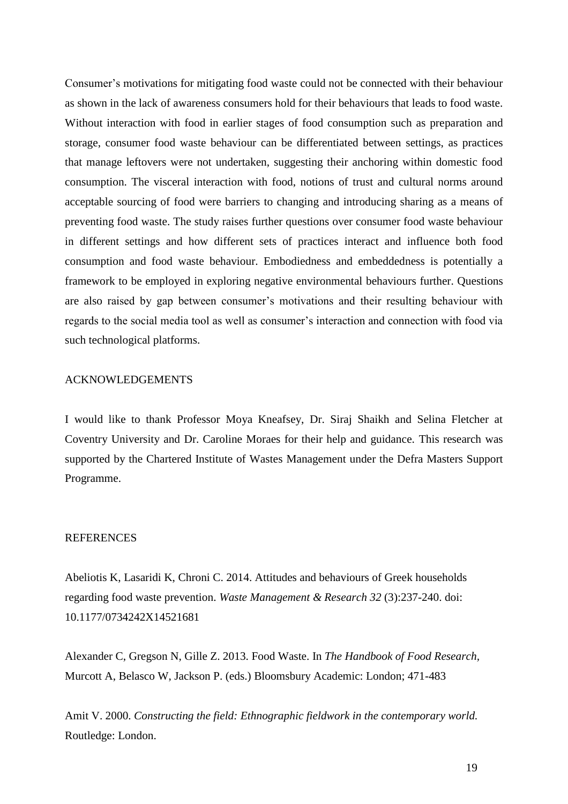Consumer's motivations for mitigating food waste could not be connected with their behaviour as shown in the lack of awareness consumers hold for their behaviours that leads to food waste. Without interaction with food in earlier stages of food consumption such as preparation and storage, consumer food waste behaviour can be differentiated between settings, as practices that manage leftovers were not undertaken, suggesting their anchoring within domestic food consumption. The visceral interaction with food, notions of trust and cultural norms around acceptable sourcing of food were barriers to changing and introducing sharing as a means of preventing food waste. The study raises further questions over consumer food waste behaviour in different settings and how different sets of practices interact and influence both food consumption and food waste behaviour. Embodiedness and embeddedness is potentially a framework to be employed in exploring negative environmental behaviours further. Questions are also raised by gap between consumer's motivations and their resulting behaviour with regards to the social media tool as well as consumer's interaction and connection with food via such technological platforms.

#### ACKNOWLEDGEMENTS

I would like to thank Professor Moya Kneafsey, Dr. Siraj Shaikh and Selina Fletcher at Coventry University and Dr. Caroline Moraes for their help and guidance. This research was supported by the Chartered Institute of Wastes Management under the Defra Masters Support Programme.

## **REFERENCES**

Abeliotis K, Lasaridi K, Chroni C. 2014. Attitudes and behaviours of Greek households regarding food waste prevention. *Waste Management & Research 32* (3):237-240. doi: 10.1177/0734242X14521681

Alexander C, Gregson N, Gille Z. 2013. Food Waste. In *The Handbook of Food Research,*  Murcott A, Belasco W, Jackson P. (eds.) Bloomsbury Academic: London; 471-483

Amit V. 2000. *Constructing the field: Ethnographic fieldwork in the contemporary world.*  Routledge: London.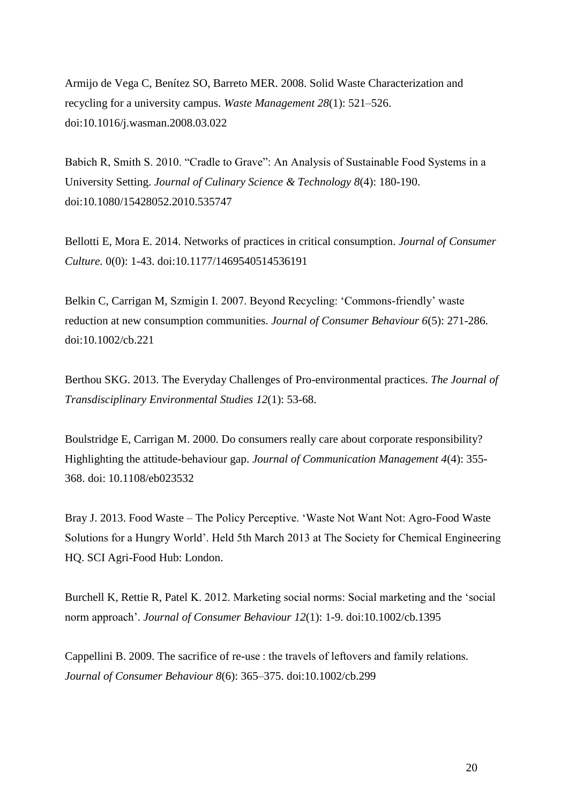Armijo de Vega C, Benítez SO, Barreto MER. 2008. Solid Waste Characterization and recycling for a university campus. *Waste Management 28*(1): 521–526. doi:10.1016/j.wasman.2008.03.022

Babich R, Smith S. 2010. "Cradle to Grave": An Analysis of Sustainable Food Systems in a University Setting. *Journal of Culinary Science & Technology 8*(4): 180-190. doi:10.1080/15428052.2010.535747

Bellotti E, Mora E. 2014. Networks of practices in critical consumption. *Journal of Consumer Culture.* 0(0): 1-43. doi:10.1177/1469540514536191

Belkin C, Carrigan M, Szmigin I. 2007. Beyond Recycling: 'Commons-friendly' waste reduction at new consumption communities. *Journal of Consumer Behaviour 6*(5): 271-286. doi:10.1002/cb.221

Berthou SKG. 2013. The Everyday Challenges of Pro-environmental practices. *The Journal of Transdisciplinary Environmental Studies 12*(1): 53-68.

Boulstridge E, Carrigan M. 2000. Do consumers really care about corporate responsibility? Highlighting the attitude-behaviour gap. *Journal of Communication Management 4*(4): 355- 368. doi: 10.1108/eb023532

Bray J. 2013. Food Waste – The Policy Perceptive. 'Waste Not Want Not: Agro-Food Waste Solutions for a Hungry World'. Held 5th March 2013 at The Society for Chemical Engineering HQ. SCI Agri-Food Hub: London.

Burchell K, Rettie R, Patel K. 2012. Marketing social norms: Social marketing and the 'social norm approach'. *Journal of Consumer Behaviour 12*(1): 1-9. doi:10.1002/cb.1395

Cappellini B. 2009. The sacrifice of re-use : the travels of leftovers and family relations*. Journal of Consumer Behaviour 8*(6): 365–375. doi:10.1002/cb.299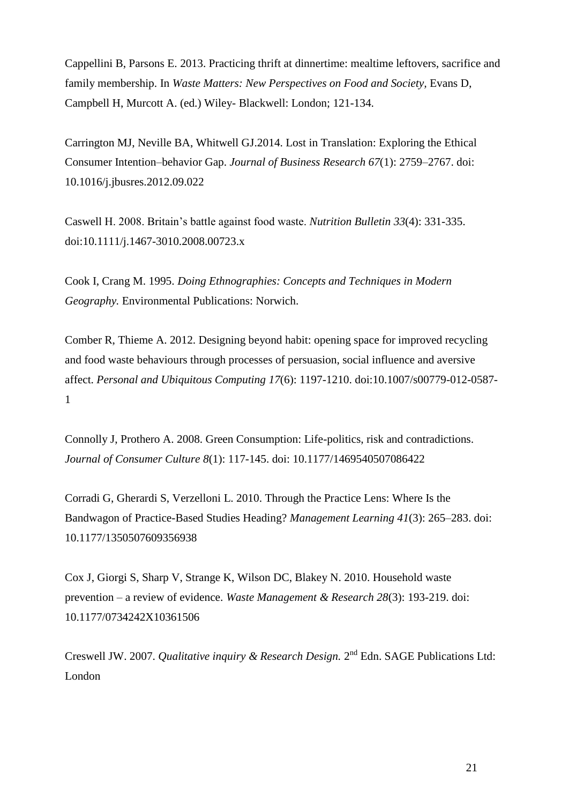Cappellini B, Parsons E. 2013. Practicing thrift at dinnertime: mealtime leftovers, sacrifice and family membership. In *Waste Matters: New Perspectives on Food and Society,* Evans D, Campbell H, Murcott A. (ed.) Wiley- Blackwell: London; 121-134.

Carrington MJ, Neville BA, Whitwell GJ.2014. Lost in Translation: Exploring the Ethical Consumer Intention–behavior Gap. *Journal of Business Research 67*(1): 2759–2767. doi: 10.1016/j.jbusres.2012.09.022

Caswell H. 2008. Britain's battle against food waste. *Nutrition Bulletin 33*(4): 331-335. doi:10.1111/j.1467-3010.2008.00723.x

Cook I, Crang M. 1995. *Doing Ethnographies: Concepts and Techniques in Modern Geography.* Environmental Publications: Norwich.

Comber R, Thieme A. 2012. Designing beyond habit: opening space for improved recycling and food waste behaviours through processes of persuasion, social influence and aversive affect. *Personal and Ubiquitous Computing 17*(6): 1197-1210. doi:10.1007/s00779-012-0587- 1

Connolly J, Prothero A. 2008. Green Consumption: Life-politics, risk and contradictions. *Journal of Consumer Culture 8*(1): 117-145. doi: 10.1177/1469540507086422

Corradi G, Gherardi S, Verzelloni L. 2010. Through the Practice Lens: Where Is the Bandwagon of Practice-Based Studies Heading? *Management Learning 41*(3): 265–283. doi: 10.1177/1350507609356938

Cox J, Giorgi S, Sharp V, Strange K, Wilson DC, Blakey N. 2010. Household waste prevention – a review of evidence. *Waste Management & Research 28*(3): 193-219. doi: 10.1177/0734242X10361506

Creswell JW. 2007. *Qualitative inquiry & Research Design*. 2<sup>nd</sup> Edn. SAGE Publications Ltd: London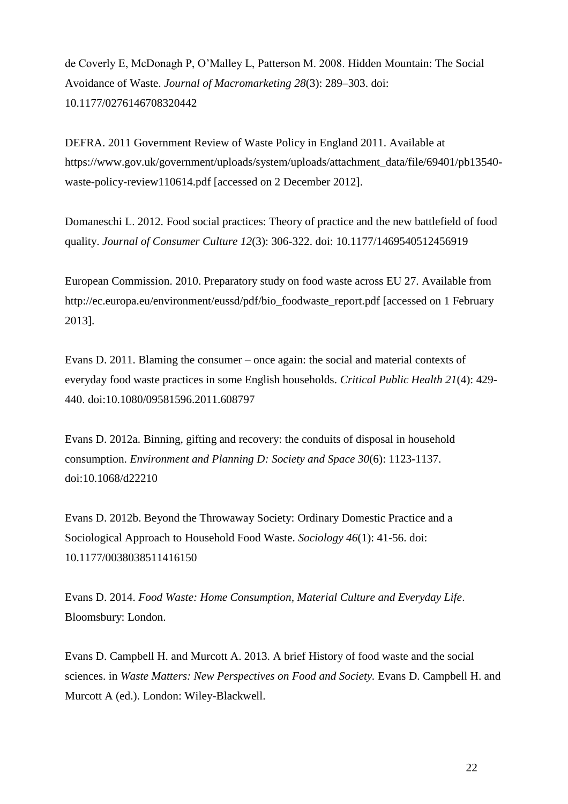de Coverly E, McDonagh P, O'Malley L, Patterson M. 2008. Hidden Mountain: The Social Avoidance of Waste. *Journal of Macromarketing 28*(3): 289–303. doi: 10.1177/0276146708320442

DEFRA. 2011 Government Review of Waste Policy in England 2011. Available at https://www.gov.uk/government/uploads/system/uploads/attachment\_data/file/69401/pb13540 waste-policy-review110614.pdf [accessed on 2 December 2012].

Domaneschi L. 2012. Food social practices: Theory of practice and the new battlefield of food quality. *Journal of Consumer Culture 12*(3): 306-322. doi: 10.1177/1469540512456919

European Commission. 2010. Preparatory study on food waste across EU 27. Available from http://ec.europa.eu/environment/eussd/pdf/bio\_foodwaste\_report.pdf [accessed on 1 February 2013].

Evans D. 2011. Blaming the consumer – once again: the social and material contexts of everyday food waste practices in some English households. *Critical Public Health 21*(4): 429- 440. doi:10.1080/09581596.2011.608797

Evans D. 2012a. Binning, gifting and recovery: the conduits of disposal in household consumption. *Environment and Planning D: Society and Space 30*(6): 1123-1137. doi:10.1068/d22210

Evans D. 2012b. Beyond the Throwaway Society: Ordinary Domestic Practice and a Sociological Approach to Household Food Waste. *Sociology 46*(1): 41-56. doi: 10.1177/0038038511416150

Evans D. 2014. *Food Waste: Home Consumption, Material Culture and Everyday Life*. Bloomsbury: London.

Evans D. Campbell H. and Murcott A. 2013. A brief History of food waste and the social sciences. in *Waste Matters: New Perspectives on Food and Society*. Evans D. Campbell H. and Murcott A (ed.). London: Wiley-Blackwell.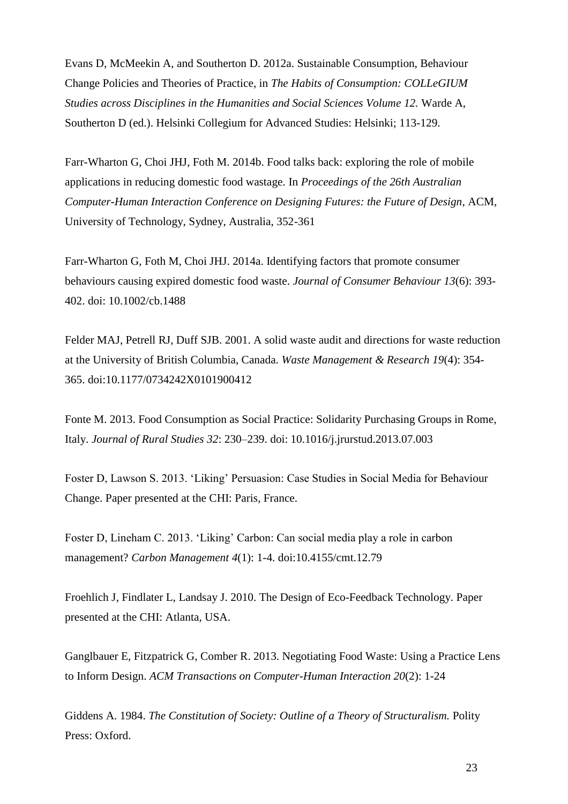Evans D, McMeekin A, and Southerton D. 2012a. Sustainable Consumption, Behaviour Change Policies and Theories of Practice, in *The Habits of Consumption: COLLeGIUM Studies across Disciplines in the Humanities and Social Sciences Volume 12.* Warde A, Southerton D (ed.). Helsinki Collegium for Advanced Studies: Helsinki; 113-129.

Farr-Wharton G, Choi JHJ, Foth M. 2014b. Food talks back: exploring the role of mobile applications in reducing domestic food wastage. In *Proceedings of the 26th Australian Computer-Human Interaction Conference on Designing Futures: the Future of Design*, ACM, University of Technology, Sydney, Australia, 352-361

Farr-Wharton G, Foth M, Choi JHJ. 2014a. Identifying factors that promote consumer behaviours causing expired domestic food waste. *Journal of Consumer Behaviour 13*(6): 393- 402. doi: 10.1002/cb.1488

Felder MAJ, Petrell RJ, Duff SJB. 2001. A solid waste audit and directions for waste reduction at the University of British Columbia, Canada. *Waste Management & Research 19*(4): 354- 365. doi:10.1177/0734242X0101900412

Fonte M. 2013. Food Consumption as Social Practice: Solidarity Purchasing Groups in Rome, Italy. *Journal of Rural Studies 32*: 230–239. doi: 10.1016/j.jrurstud.2013.07.003

Foster D, Lawson S. 2013. 'Liking' Persuasion: Case Studies in Social Media for Behaviour Change. Paper presented at the CHI: Paris, France.

Foster D, Lineham C. 2013. 'Liking' Carbon: Can social media play a role in carbon management? *Carbon Management 4*(1): 1-4. doi:10.4155/cmt.12.79

Froehlich J, Findlater L, Landsay J. 2010. The Design of Eco-Feedback Technology. Paper presented at the CHI: Atlanta, USA.

Ganglbauer E, Fitzpatrick G, Comber R. 2013. Negotiating Food Waste: Using a Practice Lens to Inform Design. *ACM Transactions on Computer-Human Interaction 20*(2): 1-24

Giddens A. 1984. *The Constitution of Society: Outline of a Theory of Structuralism.* Polity Press: Oxford.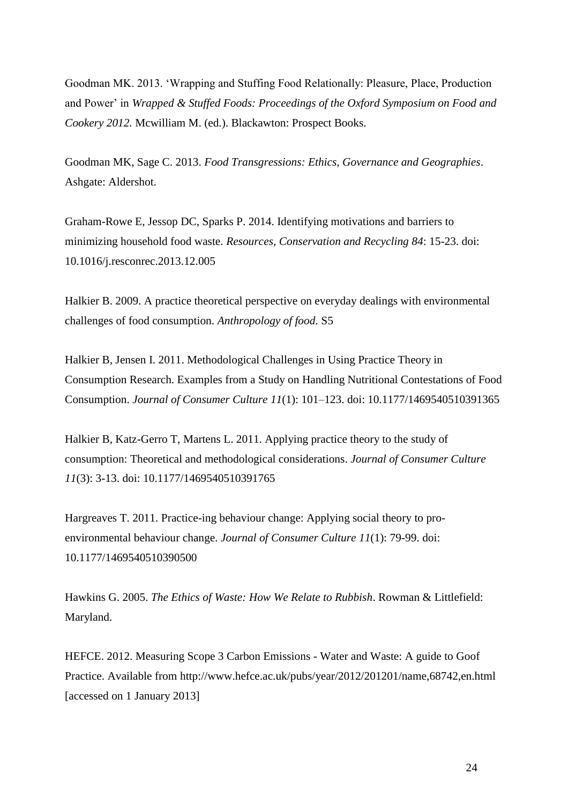Goodman MK. 2013. 'Wrapping and Stuffing Food Relationally: Pleasure, Place, Production and Power' in *Wrapped & Stuffed Foods: Proceedings of the Oxford Symposium on Food and Cookery 2012.* Mcwilliam M. (ed.). Blackawton: Prospect Books.

Goodman MK, Sage C. 2013. *Food Transgressions: Ethics, Governance and Geographies*. Ashgate: Aldershot.

Graham-Rowe E, Jessop DC, Sparks P. 2014. Identifying motivations and barriers to minimizing household food waste. *Resources, Conservation and Recycling 84*: 15-23. doi: 10.1016/j.resconrec.2013.12.005

Halkier B. 2009. A practice theoretical perspective on everyday dealings with environmental challenges of food consumption. *Anthropology of food.* S5

Halkier B, Jensen I. 2011. Methodological Challenges in Using Practice Theory in Consumption Research. Examples from a Study on Handling Nutritional Contestations of Food Consumption. *Journal of Consumer Culture 11*(1): 101–123. doi: 10.1177/1469540510391365

Halkier B, Katz-Gerro T, Martens L. 2011. Applying practice theory to the study of consumption: Theoretical and methodological considerations. *Journal of Consumer Culture 11*(3): 3-13. doi: 10.1177/1469540510391765

Hargreaves T. 2011. Practice-ing behaviour change: Applying social theory to proenvironmental behaviour change. *Journal of Consumer Culture 11*(1): 79-99. doi: 10.1177/1469540510390500

Hawkins G. 2005. *The Ethics of Waste: How We Relate to Rubbish*. Rowman & Littlefield: Maryland.

HEFCE. 2012. Measuring Scope 3 Carbon Emissions - Water and Waste: A guide to Goof Practice. Available from http://www.hefce.ac.uk/pubs/year/2012/201201/name,68742,en.html [accessed on 1 January 2013]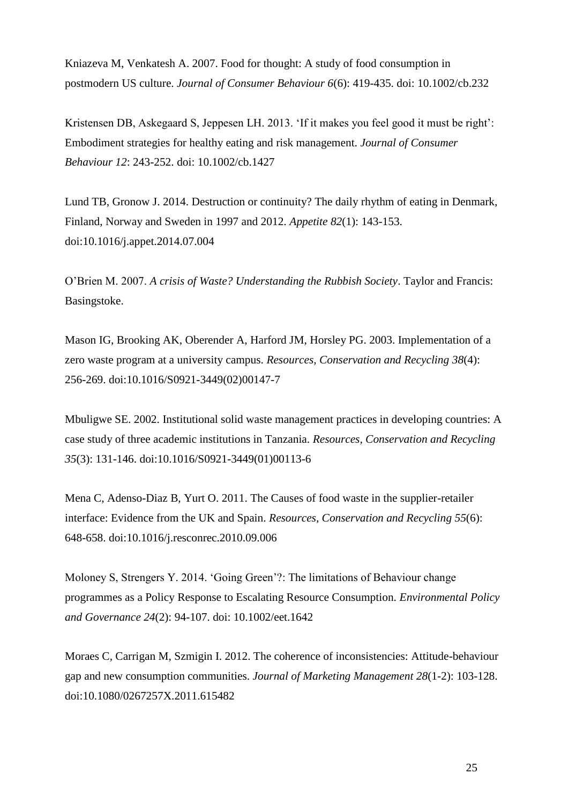Kniazeva M, Venkatesh A. 2007. Food for thought: A study of food consumption in postmodern US culture. *Journal of Consumer Behaviour 6*(6): 419-435. doi: 10.1002/cb.232

Kristensen DB, Askegaard S, Jeppesen LH. 2013. 'If it makes you feel good it must be right': Embodiment strategies for healthy eating and risk management. *Journal of Consumer Behaviour 12*: 243-252. doi: 10.1002/cb.1427

Lund TB, Gronow J. 2014. Destruction or continuity? The daily rhythm of eating in Denmark, Finland, Norway and Sweden in 1997 and 2012. *Appetite 82*(1): 143-153. doi:10.1016/j.appet.2014.07.004

O'Brien M. 2007. *A crisis of Waste? Understanding the Rubbish Society*. Taylor and Francis: Basingstoke.

Mason IG, Brooking AK, Oberender A, Harford JM, Horsley PG. 2003. Implementation of a zero waste program at a university campus. *Resources, Conservation and Recycling 38*(4): 256-269. doi:10.1016/S0921-3449(02)00147-7

Mbuligwe SE. 2002. Institutional solid waste management practices in developing countries: A case study of three academic institutions in Tanzania. *Resources, Conservation and Recycling 35*(3): 131-146. doi:10.1016/S0921-3449(01)00113-6

Mena C, Adenso-Diaz B, Yurt O. 2011. The Causes of food waste in the supplier-retailer interface: Evidence from the UK and Spain. *Resources, Conservation and Recycling 55*(6): 648-658. doi:10.1016/j.resconrec.2010.09.006

Moloney S, Strengers Y. 2014. 'Going Green'?: The limitations of Behaviour change programmes as a Policy Response to Escalating Resource Consumption. *Environmental Policy and Governance 24*(2): 94-107. doi: 10.1002/eet.1642

Moraes C, Carrigan M, Szmigin I. 2012. The coherence of inconsistencies: Attitude-behaviour gap and new consumption communities. *Journal of Marketing Management 28*(1-2): 103-128. doi:10.1080/0267257X.2011.615482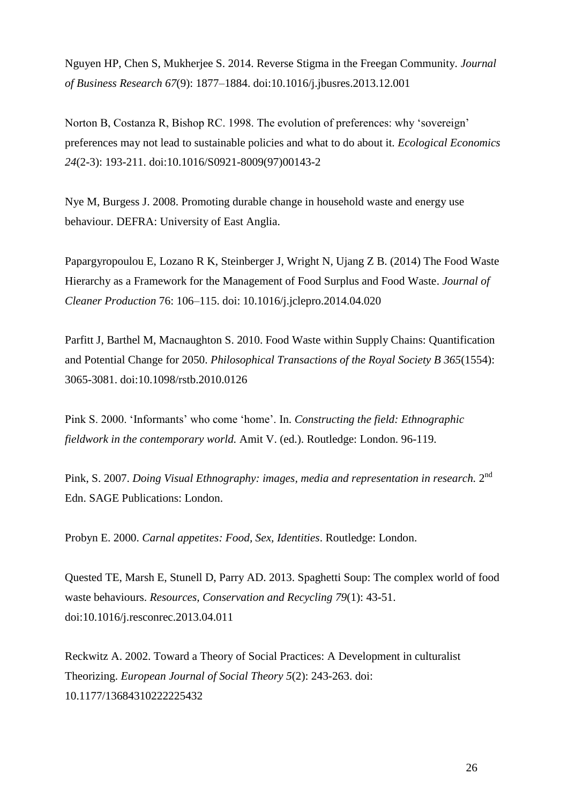Nguyen HP, Chen S, Mukherjee S. 2014. Reverse Stigma in the Freegan Community*. Journal of Business Research 67*(9): 1877–1884. doi:10.1016/j.jbusres.2013.12.001

Norton B, Costanza R, Bishop RC. 1998. The evolution of preferences: why 'sovereign' preferences may not lead to sustainable policies and what to do about it. *Ecological Economics 24*(2-3): 193-211. doi:10.1016/S0921-8009(97)00143-2

Nye M, Burgess J. 2008. Promoting durable change in household waste and energy use behaviour. DEFRA: University of East Anglia.

Papargyropoulou E, Lozano R K, Steinberger J, Wright N, Ujang Z B. (2014) The Food Waste Hierarchy as a Framework for the Management of Food Surplus and Food Waste. *Journal of Cleaner Production* 76: 106–115. doi: 10.1016/j.jclepro.2014.04.020

Parfitt J, Barthel M, Macnaughton S. 2010. Food Waste within Supply Chains: Quantification and Potential Change for 2050. *Philosophical Transactions of the Royal Society B 365*(1554): 3065-3081. doi:10.1098/rstb.2010.0126

Pink S. 2000. 'Informants' who come 'home'. In. *Constructing the field: Ethnographic fieldwork in the contemporary world.* Amit V. (ed.). Routledge: London. 96-119.

Pink, S. 2007. *Doing Visual Ethnography: images, media and representation in research*. 2<sup>nd</sup> Edn. SAGE Publications: London.

Probyn E. 2000. *Carnal appetites: Food, Sex, Identities*. Routledge: London.

Quested TE, Marsh E, Stunell D, Parry AD. 2013. Spaghetti Soup: The complex world of food waste behaviours. *Resources, Conservation and Recycling 79*(1): 43-51. doi:10.1016/j.resconrec.2013.04.011

Reckwitz A. 2002. Toward a Theory of Social Practices: A Development in culturalist Theorizing. *European Journal of Social Theory 5*(2): 243-263. doi: 10.1177/13684310222225432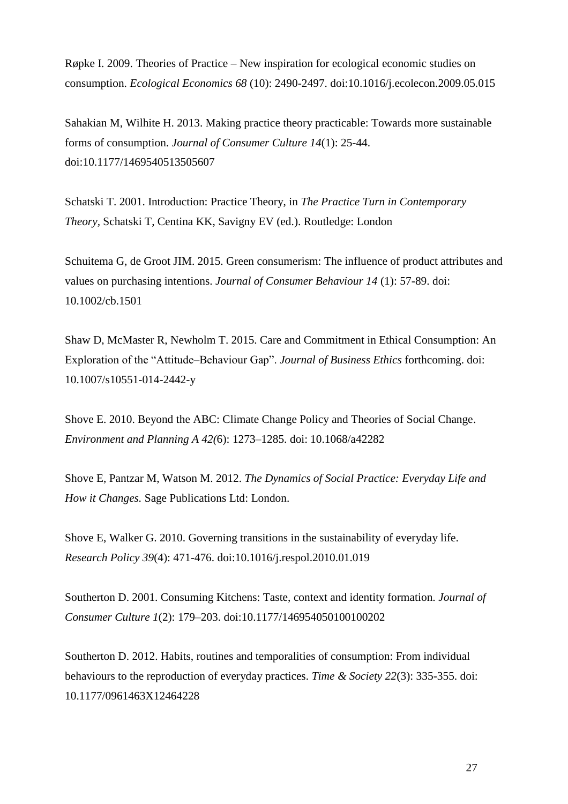Røpke I. 2009. Theories of Practice – New inspiration for ecological economic studies on consumption. *Ecological Economics 68* (10): 2490-2497. doi:10.1016/j.ecolecon.2009.05.015

Sahakian M, Wilhite H. 2013. Making practice theory practicable: Towards more sustainable forms of consumption. *Journal of Consumer Culture 14*(1): 25-44. doi:10.1177/1469540513505607

Schatski T. 2001. Introduction: Practice Theory, in *The Practice Turn in Contemporary Theory,* Schatski T, Centina KK, Savigny EV (ed.). Routledge: London

Schuitema G, de Groot JIM. 2015. Green consumerism: The influence of product attributes and values on purchasing intentions. *Journal of Consumer Behaviour 14* (1): 57-89. doi: 10.1002/cb.1501

Shaw D, McMaster R, Newholm T. 2015. Care and Commitment in Ethical Consumption: An Exploration of the "Attitude–Behaviour Gap". *Journal of Business Ethics* forthcoming. doi: 10.1007/s10551-014-2442-y

Shove E. 2010. Beyond the ABC: Climate Change Policy and Theories of Social Change. *Environment and Planning A 42(*6): 1273–1285. doi: 10.1068/a42282

Shove E, Pantzar M, Watson M. 2012. *The Dynamics of Social Practice: Everyday Life and How it Changes.* Sage Publications Ltd: London.

Shove E, Walker G. 2010. Governing transitions in the sustainability of everyday life. *Research Policy 39*(4): 471-476. doi:10.1016/j.respol.2010.01.019

Southerton D. 2001. Consuming Kitchens: Taste, context and identity formation. *Journal of Consumer Culture 1*(2): 179–203. doi:10.1177/146954050100100202

Southerton D. 2012. Habits, routines and temporalities of consumption: From individual behaviours to the reproduction of everyday practices. *Time & Society 22*(3): 335-355. doi: 10.1177/0961463X12464228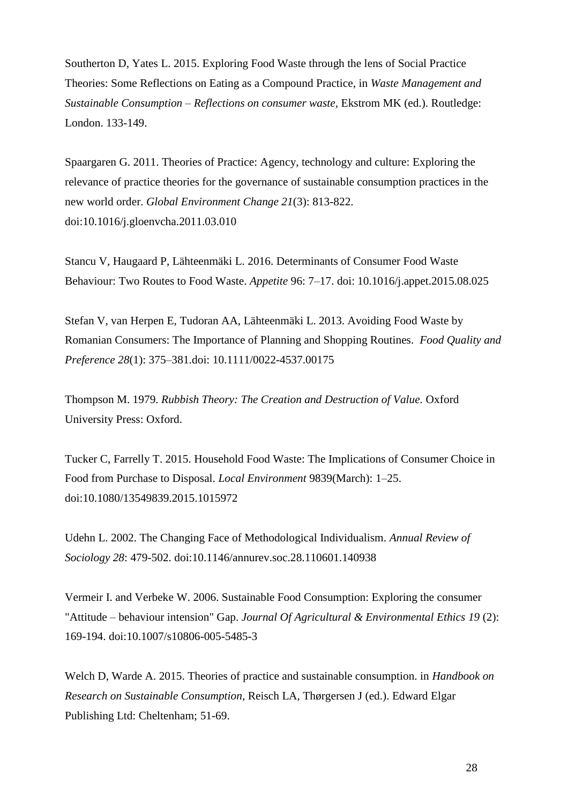Southerton D, Yates L. 2015. Exploring Food Waste through the lens of Social Practice Theories: Some Reflections on Eating as a Compound Practice*,* in *Waste Management and Sustainable Consumption – Reflections on consumer waste,* Ekstrom MK (ed.). Routledge: London. 133-149.

Spaargaren G. 2011. Theories of Practice: Agency, technology and culture: Exploring the relevance of practice theories for the governance of sustainable consumption practices in the new world order. *Global Environment Change 21*(3): 813-822. doi:10.1016/j.gloenvcha.2011.03.010

Stancu V, Haugaard P, Lähteenmäki L. 2016. Determinants of Consumer Food Waste Behaviour: Two Routes to Food Waste. *Appetite* 96: 7–17. doi: 10.1016/j.appet.2015.08.025

Stefan V, van Herpen E, Tudoran AA, Lähteenmäki L. 2013. Avoiding Food Waste by Romanian Consumers: The Importance of Planning and Shopping Routines. *Food Quality and Preference 28*(1): 375–381.doi: 10.1111/0022-4537.00175

Thompson M. 1979. *Rubbish Theory: The Creation and Destruction of Value.* Oxford University Press: Oxford.

Tucker C, Farrelly T. 2015. Household Food Waste: The Implications of Consumer Choice in Food from Purchase to Disposal. *Local Environment* 9839(March): 1–25. doi:10.1080/13549839.2015.1015972

Udehn L. 2002. The Changing Face of Methodological Individualism. *Annual Review of Sociology 28*: 479-502. doi:10.1146/annurev.soc.28.110601.140938

Vermeir I. and Verbeke W. 2006. Sustainable Food Consumption: Exploring the consumer "Attitude – behaviour intension" Gap. *Journal Of Agricultural & Environmental Ethics 19* (2): 169-194. doi:10.1007/s10806-005-5485-3

Welch D, Warde A. 2015. Theories of practice and sustainable consumption. in *Handbook on Research on Sustainable Consumption,* Reisch LA, Thørgersen J (ed.). Edward Elgar Publishing Ltd: Cheltenham; 51-69.